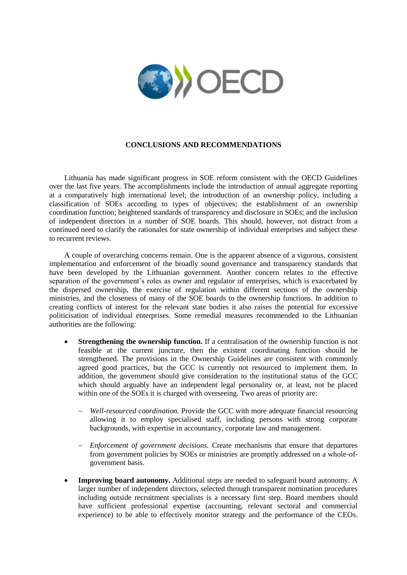

## **CONCLUSIONS AND RECOMMENDATIONS**

Lithuania has made significant progress in SOE reform consistent with the OECD Guidelines over the last five years. The accomplishments include the introduction of annual aggregate reporting at a comparatively high international level; the introduction of an ownership policy, including a classification of SOEs according to types of objectives; the establishment of an ownership coordination function; heightened standards of transparency and disclosure in SOEs; and the inclusion of independent directors in a number of SOE boards. This should, however, not distract from a continued need to clarify the rationales for state ownership of individual enterprises and subject these to recurrent reviews.

A couple of overarching concerns remain. One is the apparent absence of a vigorous, consistent implementation and enforcement of the broadly sound governance and transparency standards that have been developed by the Lithuanian government. Another concern relates to the effective separation of the government's roles as owner and regulator of enterprises, which is exacerbated by the dispersed ownership, the exercise of regulation within different sections of the ownership ministries, and the closeness of many of the SOE boards to the ownership functions. In addition to creating conflicts of interest for the relevant state bodies it also raises the potential for excessive politicisation of individual enterprises. Some remedial measures recommended to the Lithuanian authorities are the following:

- **Strengthening the ownership function.** If a centralisation of the ownership function is not feasible at the current juncture, then the existent coordinating function should be strengthened. The provisions in the Ownership Guidelines are consistent with commonly agreed good practices, but the GCC is currently not resourced to implement them. In addition, the government should give consideration to the institutional status of the GCC which should arguably have an independent legal personality or, at least, not be placed within one of the SOEs it is charged with overseeing. Two areas of priority are:
	- *Well-resourced coordination.* Provide the GCC with more adequate financial resourcing allowing it to employ specialised staff, including persons with strong corporate backgrounds, with expertise in accountancy, corporate law and management.
	- *Enforcement of government decisions.* Create mechanisms that ensure that departures from government policies by SOEs or ministries are promptly addressed on a whole-ofgovernment basis.
- **Improving board autonomy.** Additional steps are needed to safeguard board autonomy. A larger number of independent directors, selected through transparent nomination procedures including outside recruitment specialists is a necessary first step. Board members should have sufficient professional expertise (accounting, relevant sectoral and commercial experience) to be able to effectively monitor strategy and the performance of the CEOs.